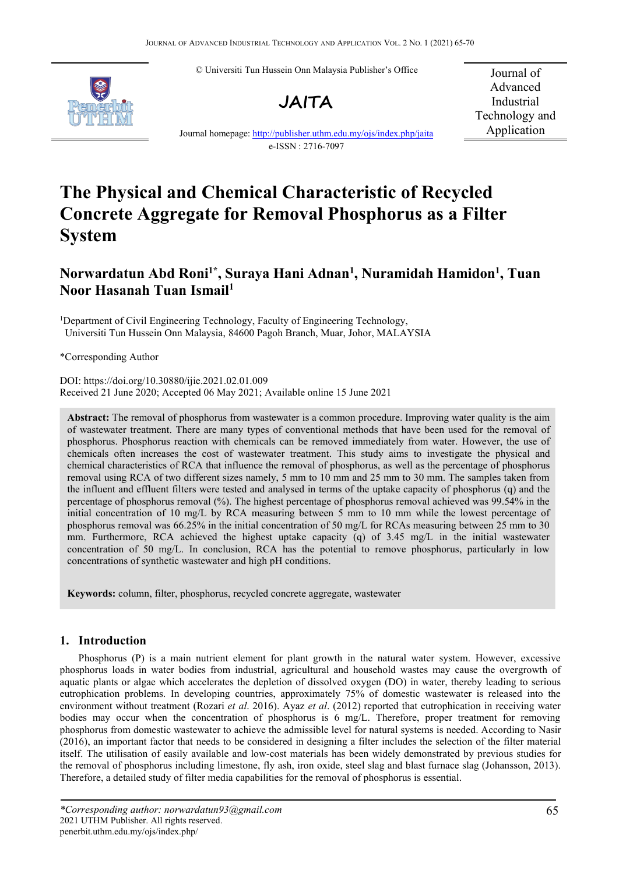© Universiti Tun Hussein Onn Malaysia Publisher's Office





Journal of Advanced Industrial Technology and Application

Journal homepage: <http://publisher.uthm.edu.my/ojs/index.php/jaita> e-ISSN : 2716-7097

# **The Physical and Chemical Characteristic of Recycled Concrete Aggregate for Removal Phosphorus as a Filter System**

## **Norwardatun Abd Roni1\* , Suraya Hani Adnan 1 , Nuramidah Hamidon 1 , Tuan Noor Hasanah Tuan Ismail<sup>1</sup>**

<sup>1</sup>Department of Civil Engineering Technology, Faculty of Engineering Technology, Universiti Tun Hussein Onn Malaysia, 84600 Pagoh Branch, Muar, Johor, MALAYSIA

\*Corresponding Author

DOI: https://doi.org/10.30880/ijie.2021.02.01.009 Received 21 June 2020; Accepted 06 May 2021; Available online 15 June 2021

**Abstract:** The removal of phosphorus from wastewater is acommon procedure. Improving water quality is the aim of wastewater treatment. There are many types of conventional methods that have been used for the removal of phosphorus. Phosphorus reaction with chemicals can be removed immediately from water. However, the use of chemicals often increases the cost of wastewater treatment. This study aims to investigate the physical and chemical characteristics of RCA that influence the removal of phosphorus, as well as the percentage of phosphorus removal using RCA of two different sizes namely, 5 mm to 10 mm and 25 mm to 30 mm. The samples taken from the influent and effluent filters were tested and analysed in terms ofthe uptake capacity of phosphorus (q) and the percentage of phosphorus removal  $\frac{8}{2}$ . The highest percentage of phosphorus removal achieved was 99.54% in the initial concentration of 10 mg/L by RCA measuring between 5 mm to 10 mm while the lowest percentage of phosphorus removal was 66.25% in the initial concentration of 50 mg/L for RCAs measuring between 25 mm to 30 mm. Furthermore, RCA achieved the highest uptake capacity (q) of  $3.45 \text{ mg/L}$  in the initial wastewater concentration of 50 mg/L. In conclusion, RCA has the potential to remove phosphorus, particularly in low concentrations of synthetic wastewater and high pH conditions.

**Keywords:** column, filter, phosphorus, recycled concrete aggregate, wastewater

## **1. Introduction**

Phosphorus (P) is a main nutrient element for plant growth in the natural water system. However, excessive phosphorus loads in water bodies from industrial, agriculturaland household wastes may cause the overgrowth of aquatic plants or algae which accelerates the depletion of dissolved oxygen (DO) in water, thereby leading to serious eutrophication problems. In developing countries, approximately 75% of domestic wastewater is released into the environment without treatment (Rozari *et al*. 2016). Ayaz *et al*. (2012) reported that eutrophication in receiving water bodies may occur when the concentration of phosphorus is 6 mg/L. Therefore, proper treatment for removing phosphorus from domestic wastewater to achieve the admissible level for natural systems is needed. According to Nasir (2016), an important factor that needs to be considered in designing a filter includes the selection of the filter material itself. The utilisation of easily available and low-cost materials has been widely demonstrated by previous studies for the removal of phosphorus including limestone, fly ash, iron oxide, steel slag and blast furnace slag (Johansson, 2013). Therefore, a detailed study of filter media capabilities for the removal of phosphorus is essential.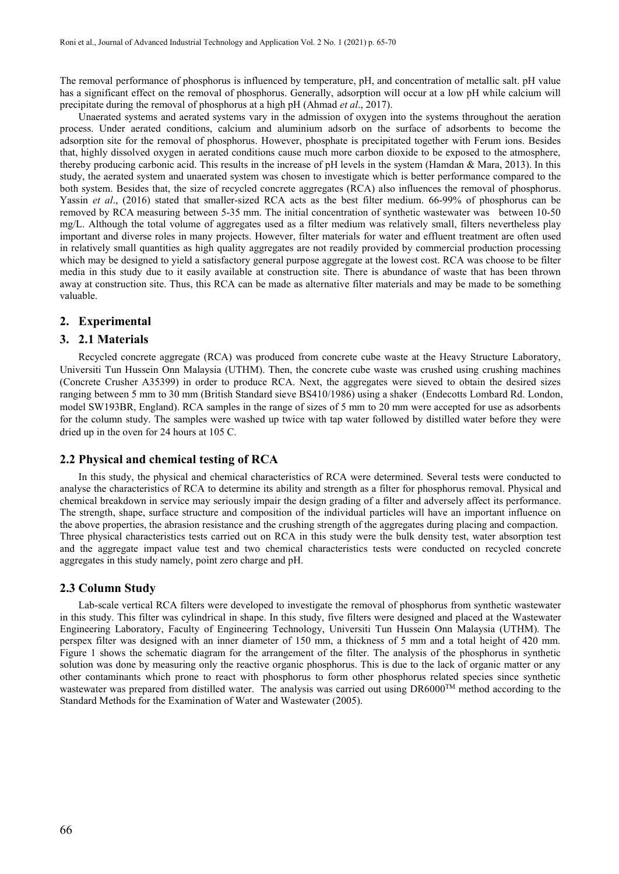The removal performance of phosphorus is influenced by temperature, pH, and concentration of metallic salt. pH value has a significant effect on the removal of phosphorus. Generally, adsorption will occur ata low pH while calcium will precipitate during the removal of phosphorus at a high pH (Ahmad *et al*., 2017).

Unaerated systems and aerated systems vary in the admission of oxygen into the systems throughout the aeration process. Under aerated conditions, calcium and aluminium adsorb on the surface of adsorbents to become the adsorption site for the removal of phosphorus. However, phosphate is precipitated together with Ferum ions. Besides that, highly dissolved oxygen in aerated conditions cause much more carbon dioxide to be exposed to the atmosphere, thereby producing carbonic acid. This results in the increase of pH levels in the system (Hamdan & Mara, 2013). In this study, the aerated system and unaerated system was chosen to investigate which is better performance compared to the both system. Besides that, the size of recycled concrete aggregates (RCA) also influences the removal of phosphorus. Yassin *et al*., (2016) stated that smaller-sized RCA acts as the best filter medium. 66-99% of phosphorus can be removed by RCA measuring between 5-35 mm. The initial concentration of synthetic wastewater was between 10-50 mg/L. Although the total volume of aggregates used as a filter medium was relatively small, filters nevertheless play important and diverse roles in many projects. However, filter materials for water and effluent treatment are often used in relatively small quantities as high quality aggregates are not readily provided by commercial production processing which may be designed to yield a satisfactory general purpose aggregate at the lowest cost. RCA was choose to be filter media in this study due to it easily available at construction site. There is abundance of waste that has been thrown away at construction site. Thus, this RCA can be made as alternative filter materials and may be made to be something valuable.

## **2. Experimental**

#### **3. 2.1 Materials**

Recycled concrete aggregate (RCA) was produced from concrete cube waste at the Heavy Structure Laboratory, Universiti Tun Hussein Onn Malaysia (UTHM). Then, the concrete cube waste was crushed using crushing machines (Concrete Crusher A35399) in order to produce RCA. Next, the aggregates were sieved to obtain the desired sizes ranging between 5 mm to 30 mm (British Standard sieve BS410/1986) using a shaker (Endecotts Lombard Rd. London, model SW193BR, England). RCA samples in the range of sizes of 5 mm to 20 mm were accepted for use as adsorbents for the column study. The samples were washed up twice with tap water followed by distilled water before they were dried up in the oven for 24 hours at 105 C.

## **2.2 Physical and chemical testing of RCA**

In this study, the physical and chemical characteristics of RCA were determined. Several tests were conducted to analyse the characteristics of RCA to determineits ability and strength as a filter for phosphorus removal. Physical and chemical breakdown in service may seriously impair the design grading of a filter and adversely affect its performance. The strength, shape, surface structure and composition of the individual particles will have an importantinfluence on the above properties, the abrasion resistance and the crushing strength of the aggregates during placing and compaction. Three physical characteristics tests carried out on RCA in this study were the bulk density test, water absorption test and the aggregate impact value test and two chemical characteristics tests were conducted on recycled concrete aggregates in this study namely, point zero charge and pH.

#### **2.3 Column Study**

Lab-scale vertical RCA filters were developed to investigate the removal of phosphorus from synthetic wastewater in this study. This filter was cylindrical in shape. In this study, five filters were designed and placed at the Wastewater Engineering Laboratory, Faculty of Engineering Technology, Universiti Tun Hussein Onn Malaysia (UTHM). The perspex filter was designed with an inner diameter of 150 mm, a thickness of 5 mm and a total height of 420 mm. Figure 1 shows the schematic diagram for the arrangement of the filter. The analysis of the phosphorus in synthetic solution was done by measuring only the reactive organic phosphorus. This is due to the lack of organic matter or any other contaminants which prone to react with phosphorus to form other phosphorus related species since synthetic wastewater was prepared from distilled water. The analysis was carried out using DR6000<sup>TM</sup> method according to the Standard Methods for the Examination of Water and Wastewater (2005).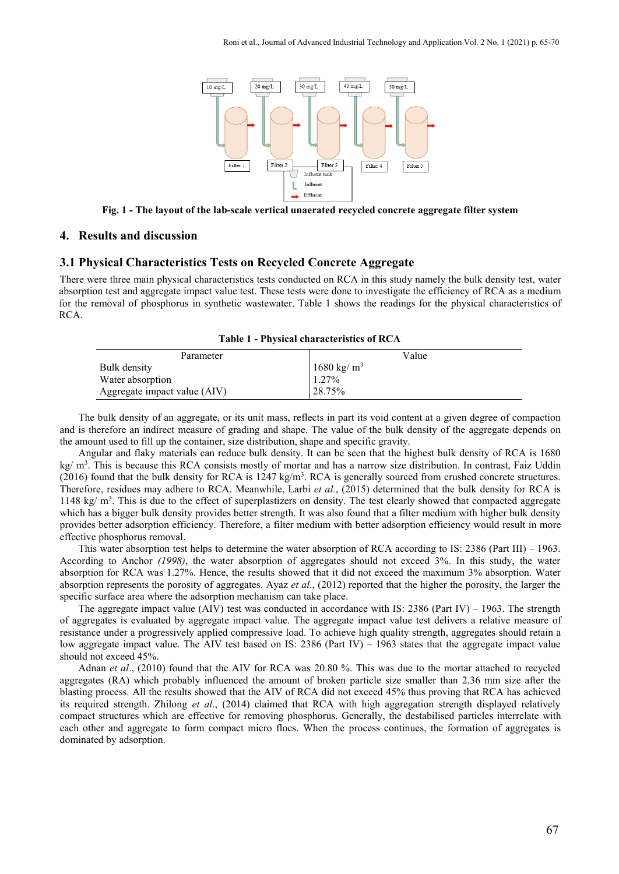

**Fig. 1 - The layout of the lab-scale vertical unaerated recycled concrete aggregate filter system**

#### **4. Results and discussion**

#### **3.1 Physical Characteristics Tests on Recycled Concrete Aggregate**

There were three main physical characteristics tests conducted on RCA in this study namely the bulk density test, water absorption test and aggregate impact value test. These tests were done to investigate the efficiency of RCA as a medium for the removal of phosphorus in synthetic wastewater. Table 1 shows the readings for the physical characteristics of RCA.

| $\ldots$                     |                       |  |
|------------------------------|-----------------------|--|
| Parameter                    | Value                 |  |
| Bulk density                 | $1680 \text{ kg/m}^3$ |  |
| Water absorption             | $1.27\%$              |  |
| Aggregate impact value (AIV) | $128.75\%$            |  |

**Table 1 - Physical characteristics of RCA**

The bulk density of an aggregate, or its unit mass, reflects in part its void content ata given degree of compaction and is therefore an indirect measure of grading and shape. The value of the bulk density of the aggregate depends on the amount used to fill up the container, size distribution, shape and specific gravity.

Angular and flaky materials can reduce bulk density. It can be seen that the highest bulk density of RCA is 1680 kg/ m<sup>3</sup>. This is because this RCA consists mostly of mortar and has a narrow size distribution. In contrast, Faiz Uddin  $(2016)$  found that the bulk density for RCA is  $1247 \text{ kg/m}^3$ . RCA is generally sourced from crushed concrete structures. Therefore, residues may adhere to RCA. Meanwhile, Larbi *et al.*, (2015) determined that the bulk density for RCA is 1148 kg/  $m<sup>3</sup>$ . This is due to the effect of superplastizers on density. The test clearly showed that compacted aggregate which has a bigger bulk density provides better strength. It was also found that a filter medium with higher bulk density provides better adsorption efficiency. Therefore, a filter medium with better adsorption efficiency would result in more effective phosphorus removal.

This water absorption test helps to determine the water absorption of RCA according to IS: 2386 (Part III) – 1963. According to Anchor *(1998)*, the water absorption of aggregates should not exceed 3%. In this study, the water absorption for RCA was 1.27%. Hence, the results showed that it did not exceed the maximum 3% absorption. Water absorption represents the porosity of aggregates. Ayaz *et al*., (2012) reported that the higher the porosity, the larger the specific surface area where the adsorption mechanism can take place.

The aggregate impact value (AIV) test was conducted in accordance with IS: 2386 (Part IV) – 1963. The strength of aggregates is evaluated by aggregate impactvalue. The aggregate impactvalue test delivers a relative measure of resistance under a progressively applied compressive load. To achieve high quality strength, aggregates should retain a low aggregate impact value. The AIV test based on IS: 2386 (Part IV) – 1963 states that the aggregate impact value should not exceed 45%.

Adnan *et al*., (2010) found that the AIV for RCA was 20.80 %. This was due to the mortar attached to recycled aggregates (RA) which probably influenced the amount of broken particle size smaller than 2.36 mm size after the blasting process. All the results showed that the AIV of RCA did not exceed 45% thus proving that RCA has achieved its required strength. Zhilong *et al*., (2014) claimed that RCA with high aggregation strength displayed relatively compact structures which are effective for removing phosphorus. Generally, the destabilised particles interrelate with each other and aggregate to form compact micro flocs. When the process continues, the formation of aggregates is dominated by adsorption.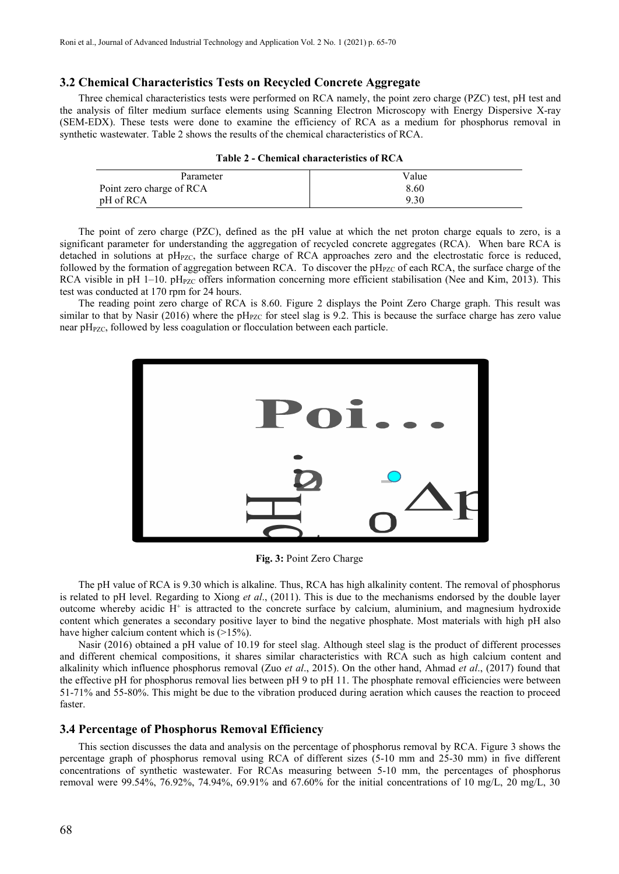pH of RCA

## **3.2 ChemicalCharacteristics Tests on Recycled Concrete Aggregate**

Three chemical characteristics tests were performed on RCA namely, the point zero charge (PZC) test, pH test and the analysis of filter medium surface elements using Scanning Electron Microscopy with Energy Dispersive X-ray (SEM-EDX). These tests were done to examine the efficiency of RCA as a medium for phosphorus removal in synthetic wastewater. Table 2 shows the results of the chemical characteristics of RCA.

| $1$ apro $\mu$ = Chemical enargements of RC/V |       |  |
|-----------------------------------------------|-------|--|
| Parameter                                     | Value |  |
| Point zero charge of RCA                      | 8.60  |  |

| Table 2 - Chemical characteristics of RCA |  |
|-------------------------------------------|--|
|-------------------------------------------|--|

9.30

The point of zero charge (PZC), defined as the pH value at which the net proton charge equals to zero, is a significant parameter for understanding the aggregation of recycled concrete aggregates (RCA). When bare RCA is detached in solutions at  $pH_{PZC}$ , the surface charge of RCA approaches zero and the electrostatic force is reduced, followed by the formation of aggregation between RCA. To discover the  $pH<sub>PZC</sub>$  of each RCA, the surface charge of the RCA visible in pH  $1-10$ . pH<sub>PZC</sub> offers information concerning more efficient stabilisation (Nee and Kim, 2013). This test was conducted at 170 rpm for 24 hours.

The reading point zero charge of RCA is 8.60. Figure 2 displays the Point Zero Charge graph. This result was similar to that by Nasir (2016) where the pH<sub>PZC</sub> for steel slag is 9.2. This is because the surface charge has zero value near pH<sub>PZC</sub>, followed by less coagulation or flocculation between each particle.



**Fig. 3:** Point Zero Charge

The pH value of RCA is 9.30 which is alkaline. Thus, RCA has high alkalinity content. The removal of phosphorus is related to pH level. Regarding to Xiong *et al*., (2011). This is due to the mechanisms endorsed by the double layer outcome whereby acidic H<sup>+</sup> is attracted to the concrete surface by calcium, aluminium, and magnesium hydroxide content which generates a secondary positive layer to bind the negative phosphate. Most materials with high pH also have higher calcium content which is  $(>15\%)$ .

Nasir (2016) obtained a pH value of 10.19 for steel slag. Although steel slag is the product of different processes and different chemical compositions, it shares similar characteristics with RCA such as high calcium content and alkalinity which influence phosphorus removal (Zuo *et al*., 2015). On the other hand, Ahmad *et al*., (2017) found that the effective pH for phosphorus removal lies between pH 9 to pH 11. The phosphate removal efficiencies were between 51-71% and 55-80%. This might be due to the vibration produced during aeration which causes the reaction to proceed faster.

#### **3.4 Percentage of Phosphorus Removal Efficiency**

This section discusses the data and analysis on the percentage of phosphorus removal by RCA. Figure 3 shows the percentage graph of phosphorus removal using RCA of different sizes (5-10 mm and 25-30 mm) in five different concentrations of synthetic wastewater. For RCAs measuring between 5-10 mm, the percentages of phosphorus removal were 99.54%, 76.92%, 74.94%, 69.91% and 67.60% for the initial concentrations of 10 mg/L, 20 mg/L, 30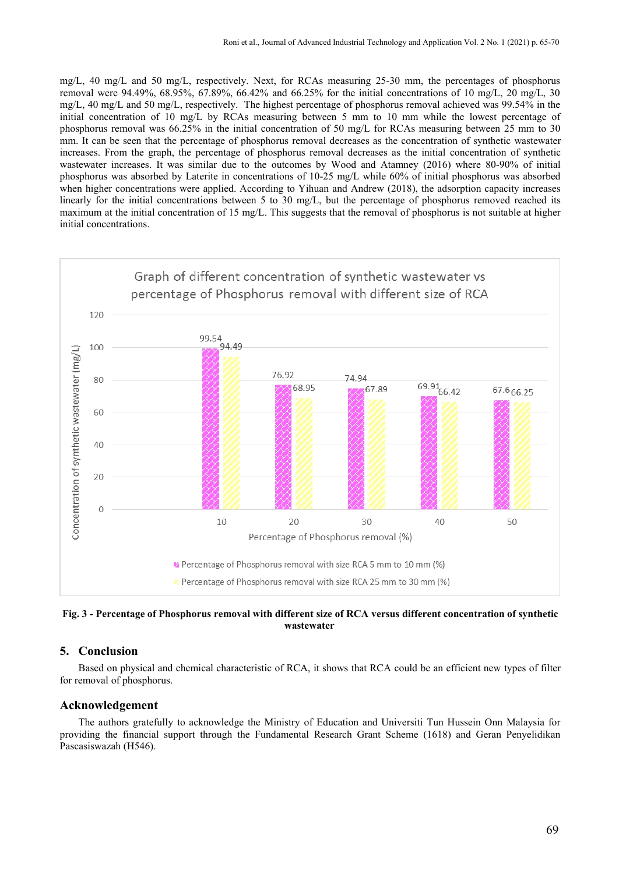mg/L, 40 mg/L and 50 mg/L, respectively. Next, for RCAs measuring 25-30 mm, the percentages of phosphorus removal were 94.49%, 68.95%, 67.89%, 66.42% and 66.25% for the initial concentrations of 10 mg/L, 20 mg/L, 30  $mg/L$ , 40 mg/L and 50 mg/L, respectively. The highest percentage of phosphorus removal achieved was 99.54% in the initial concentration of 10 mg/L by RCAs measuring between 5 mm to 10 mm while the lowest percentage of phosphorus removal was 66.25% in the initial concentration of 50 mg/L for RCAs measuring between 25 mm to 30 mm. It can be seen that the percentage of phosphorus removal decreases as the concentration of synthetic wastewater increases. From the graph, the percentage of phosphorus removal decreases as the initial concentration of synthetic wastewater increases. It was similar due to the outcomes by Wood and Atamney (2016) where 80-90% of initial phosphorus was absorbed by Laterite in concentrations of 10-25 mg/L while 60% of initial phosphorus was absorbed when higher concentrations were applied. According to Yihuan and Andrew (2018), the adsorption capacity increases linearly for the initial concentrations between 5 to 30 mg/L, but the percentage of phosphorus removed reached its maximum at the initial concentration of 15 mg/L. This suggests that the removal of phosphorus is not suitable at higher initial concentrations.



Fig. 3 - Percentage of Phosphorus removal with different size of RCA versus different concentration of synthetic **wastewater**

#### **5. Conclusion**

Based on physical and chemical characteristic of RCA, it shows that RCA could be an efficient new types of filter for removal of phosphorus.

#### **Acknowledgement**

The authors gratefully to acknowledge the Ministry of Education and Universiti Tun Hussein Onn Malaysia for providing the financial support through the Fundamental Research Grant Scheme (1618) and Geran Penyelidikan Pascasiswazah (H546).